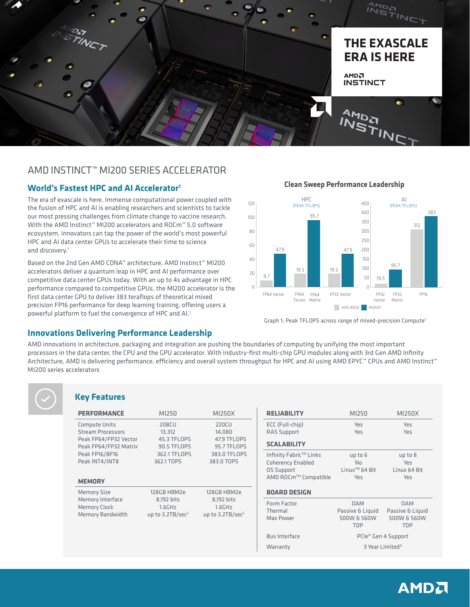

# AMD INSTINCT™ MI200 SERIES ACCELERATOR

## **World's Fastest HPC and AI Accelerator<sup>1</sup>**

The era of exascale is here. Immense computational power coupled with the fusion of HPC and AI is enabling researchers and scientists to tackle our most pressing challenges from climate change to vaccine research. With the AMD Instinct™ MI200 accelerators and ROCm™ 5.0 software ecosystem, innovators can tap the power of the world's most powerful HPC and AI data center GPUs to accelerate their time to science and discovery.<sup>1</sup>

Based on the 2nd Gen AMD CDNA™ architecture, AMD Instinct™ MI200 accelerators deliver a quantum leap in HPC and AI performance over competitive data center GPUs today. With an up to 4x advantage in HPC performance compared to competitive GPUs, the MI200 accelerator is the first data center GPU to deliver 383 teraflops of theoretical mixed precision FP16 performance for deep learning training, offering users a powerful platform to fuel the convergence of HPC and AI.<sup>1</sup>



Graph 1: Peak TFLOPS across range of mixed-precision Compute<sup>1</sup>

### **Innovations Delivering Performance Leadership**

AMD innovations in architecture, packaging and integration are pushing the boundaries of computing by unifying the most important processors in the data center, the CPU and the GPU accelerator. With industry-first multi-chip GPU modules along with 3rd Gen AMD Infinity Architecture, AMD is delivering performance, efficiency and overall system throughput for HPC and AI using AMD EPYC™ CPUs and AMD Instinct™ MI200 series accelerators

|  | <b>Key Features</b> |
|--|---------------------|
|--|---------------------|

| <b>PERFORMANCE</b>                                | MI250                 | MI250X                | <b>RELIABILITY</b>       | MI250                     | MI250X                          |
|---------------------------------------------------|-----------------------|-----------------------|--------------------------|---------------------------|---------------------------------|
| Compute Units                                     | 208CU                 | 220CU                 | ECC (Full-chip)          | Yes                       | Yes                             |
| <b>Stream Processors</b><br>Peak FP64/FP32 Vector | 13.312<br>45.3 TFLOPS | 14,080<br>47.9 TFLOPS | <b>RAS Support</b>       | Yes                       | Yes                             |
| Peak FP64/FP32 Matrix                             | 90.5 TFLOPS           | 95.7 TFLOPS           | <b>SCALABILITY</b>       |                           |                                 |
| Peak FP16/BF16                                    | 362.1 TFLOPS          | 383.0 TFLOPS          | Infinity Fabric™ Links   | up to 6                   | up to 8                         |
| Peak INT4/INT8                                    | 362.1 TOPS            | 383.0 TOPS            | <b>Coherency Enabled</b> | No.                       | Yes                             |
|                                                   |                       |                       | <b>OS Support</b>        | Linux <sup>™</sup> 64 Bit | Linux 64 Bit                    |
| <b>MEMORY</b>                                     |                       |                       | AMD ROCm™ Compatible     | Yes                       | Yes                             |
| <b>Memory Size</b>                                | 128GB HBM2e           | 128GB HBM2e           | <b>BOARD DESIGN</b>      |                           |                                 |
| Memory Interface                                  | 8,192 bits            | 8,192 bits            | Form Factor              | <b>OAM</b>                | <b>OAM</b>                      |
| <b>Memory Clock</b>                               | 1.6GHz                | 1.6GHz                | Thermal                  | Passive & Liquid          | Passive & Liquid                |
| <b>Memory Bandwidth</b>                           | up to $3.2TB/sec2$    | up to $3.2TB/sec2$    | Max Power                | 500W & 560W               | 500W & 560W                     |
|                                                   |                       |                       |                          | <b>TDP</b>                | <b>TDP</b>                      |
|                                                   |                       |                       | Bus Interface            |                           | PCIe <sup>®</sup> Gen 4 Support |
|                                                   |                       |                       | Warranty                 |                           | 3 Year Limited <sup>4</sup>     |

### **Clean Sweep Performance Leadership**

# **AMDA**